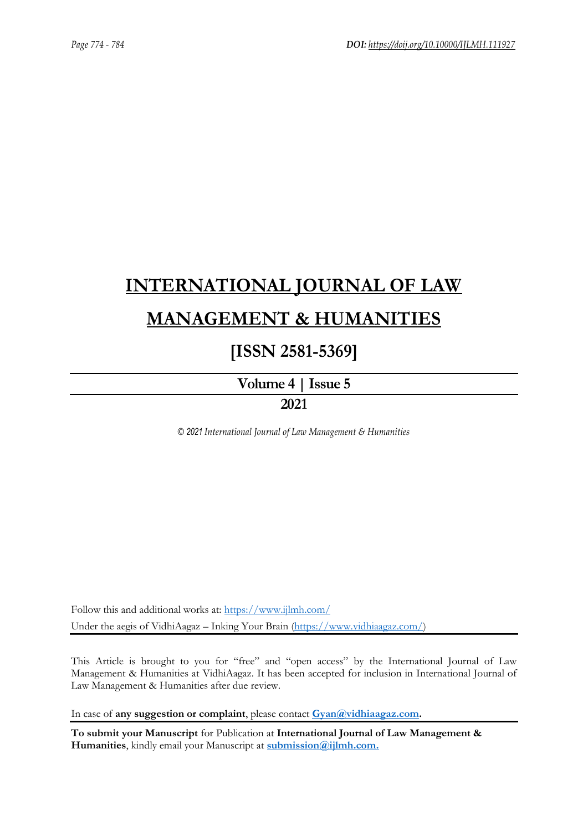# **[INTERNATIONAL JOURNAL OF LAW](https://www.ijlmh.com/)  [MANAGEMENT & HUMANITIES](https://www.ijlmh.com/)**

### **[ISSN 2581-5369]**

**[Volume 4 |](https://www.ijlmh.com/publications/volume-iv-issue-v/) Issue 5**

**2021**

*© 2021 International Journal of Law Management & Humanities*

Follow this and additional works at:<https://www.ijlmh.com/> Under the aegis of VidhiAagaz – Inking Your Brain [\(https://www.vidhiaagaz.com/\)](https://www.vidhiaagaz.com/)

This Article is brought to you for "free" and "open access" by the International Journal of Law Management & Humanities at VidhiAagaz. It has been accepted for inclusion in International Journal of Law Management & Humanities after due review.

In case of **any suggestion or complaint**, please contact **[Gyan@vidhiaagaz.com.](mailto:Gyan@vidhiaagaz.com)** 

**To submit your Manuscript** for Publication at **International Journal of Law Management & Humanities**, kindly email your Manuscript at **[submission@ijlmh.com.](mailto:submission@ijlmh.com)**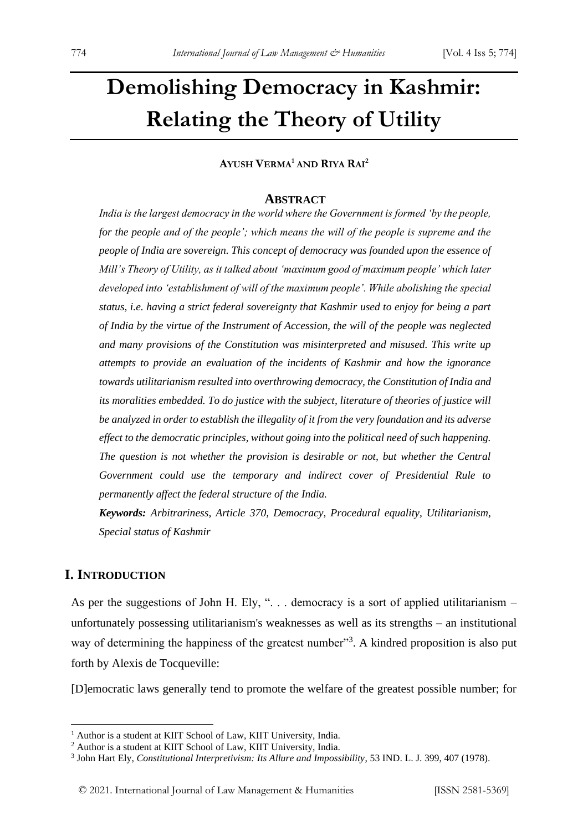## **Demolishing Democracy in Kashmir: Relating the Theory of Utility**

#### **AYUSH VERMA <sup>1</sup> AND RIYA RAI<sup>2</sup>**

#### **ABSTRACT**

*India is the largest democracy in the world where the Government is formed 'by the people, for the people and of the people'; which means the will of the people is supreme and the people of India are sovereign. This concept of democracy was founded upon the essence of Mill's Theory of Utility, as it talked about 'maximum good of maximum people' which later developed into 'establishment of will of the maximum people'. While abolishing the special status, i.e. having a strict federal sovereignty that Kashmir used to enjoy for being a part of India by the virtue of the Instrument of Accession, the will of the people was neglected and many provisions of the Constitution was misinterpreted and misused. This write up attempts to provide an evaluation of the incidents of Kashmir and how the ignorance towards utilitarianism resulted into overthrowing democracy, the Constitution of India and its moralities embedded. To do justice with the subject, literature of theories of justice will be analyzed in order to establish the illegality of it from the very foundation and its adverse effect to the democratic principles, without going into the political need of such happening. The question is not whether the provision is desirable or not, but whether the Central Government could use the temporary and indirect cover of Presidential Rule to permanently affect the federal structure of the India.*

*Keywords: Arbitrariness, Article 370, Democracy, Procedural equality, Utilitarianism, Special status of Kashmir*

#### **I. INTRODUCTION**

As per the suggestions of John H. Ely, " $\ldots$  democracy is a sort of applied utilitarianism – unfortunately possessing utilitarianism's weaknesses as well as its strengths – an institutional way of determining the happiness of the greatest number"<sup>3</sup>. A kindred proposition is also put forth by Alexis de Tocqueville:

[D]emocratic laws generally tend to promote the welfare of the greatest possible number; for

<sup>&</sup>lt;sup>1</sup> Author is a student at KIIT School of Law, KIIT University, India.

<sup>2</sup> Author is a student at KIIT School of Law, KIIT University, India.

<sup>3</sup> John Hart Ely, *Constitutional Interpretivism: Its Allure and Impossibility*, 53 IND. L. J. 399, 407 (1978).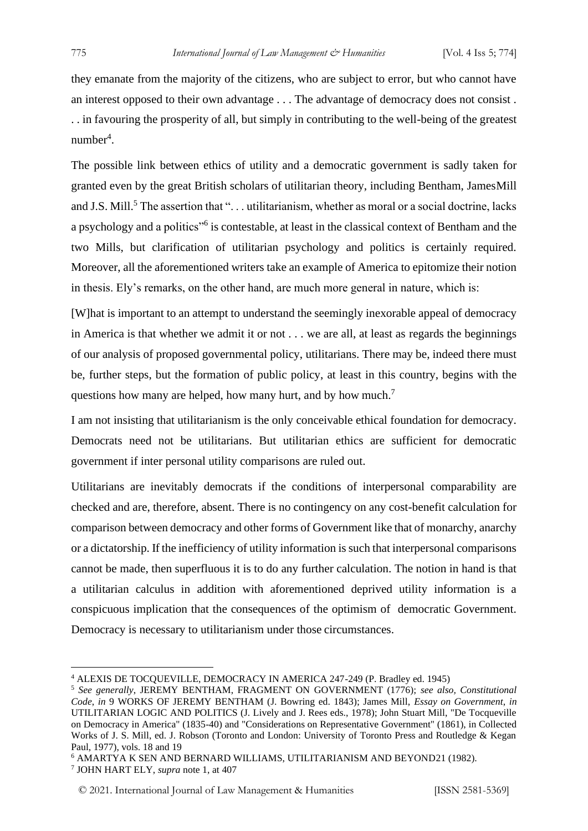they emanate from the majority of the citizens, who are subject to error, but who cannot have an interest opposed to their own advantage . . . The advantage of democracy does not consist . . . in favouring the prosperity of all, but simply in contributing to the well-being of the greatest number<sup>4</sup>.

The possible link between ethics of utility and a democratic government is sadly taken for granted even by the great British scholars of utilitarian theory, including Bentham, JamesMill and J.S. Mill.<sup>5</sup> The assertion that "... utilitarianism, whether as moral or a social doctrine, lacks a psychology and a politics"<sup>6</sup> is contestable, at least in the classical context of Bentham and the two Mills, but clarification of utilitarian psychology and politics is certainly required. Moreover, all the aforementioned writers take an example of America to epitomize their notion in thesis. Ely's remarks, on the other hand, are much more general in nature, which is:

[W]hat is important to an attempt to understand the seemingly inexorable appeal of democracy in America is that whether we admit it or not . . . we are all, at least as regards the beginnings of our analysis of proposed governmental policy, utilitarians. There may be, indeed there must be, further steps, but the formation of public policy, at least in this country, begins with the questions how many are helped, how many hurt, and by how much.<sup>7</sup>

I am not insisting that utilitarianism is the only conceivable ethical foundation for democracy. Democrats need not be utilitarians. But utilitarian ethics are sufficient for democratic government if inter personal utility comparisons are ruled out.

Utilitarians are inevitably democrats if the conditions of interpersonal comparability are checked and are, therefore, absent. There is no contingency on any cost-benefit calculation for comparison between democracy and other forms of Government like that of monarchy, anarchy or a dictatorship. If the inefficiency of utility information is such that interpersonal comparisons cannot be made, then superfluous it is to do any further calculation. The notion in hand is that a utilitarian calculus in addition with aforementioned deprived utility information is a conspicuous implication that the consequences of the optimism of democratic Government. Democracy is necessary to utilitarianism under those circumstances.

<sup>4</sup> ALEXIS DE TOCQUEVILLE, DEMOCRACY IN AMERICA 247-249 (P. Bradley ed. 1945)

<sup>5</sup> *See generally*, JEREMY BENTHAM, FRAGMENT ON GOVERNMENT (1776); *see also, Constitutional Code*, *in* 9 WORKS OF JEREMY BENTHAM (J. Bowring ed. 1843); James Mill, *Essay on Government*, *in*  UTILITARIAN LOGIC AND POLITICS (J. Lively and J. Rees eds., 1978); John Stuart Mill, "De Tocqueville on Democracy in America" (1835-40) and "Considerations on Representative Government" (1861), in Collected Works of J. S. Mill, ed. J. Robson (Toronto and London: University of Toronto Press and Routledge & Kegan Paul, 1977), vols. 18 and 19

<sup>6</sup> AMARTYA K SEN AND BERNARD WILLIAMS, UTILITARIANISM AND BEYOND21 (1982).

<sup>7</sup> JOHN HART ELY, *supra* note 1, at 407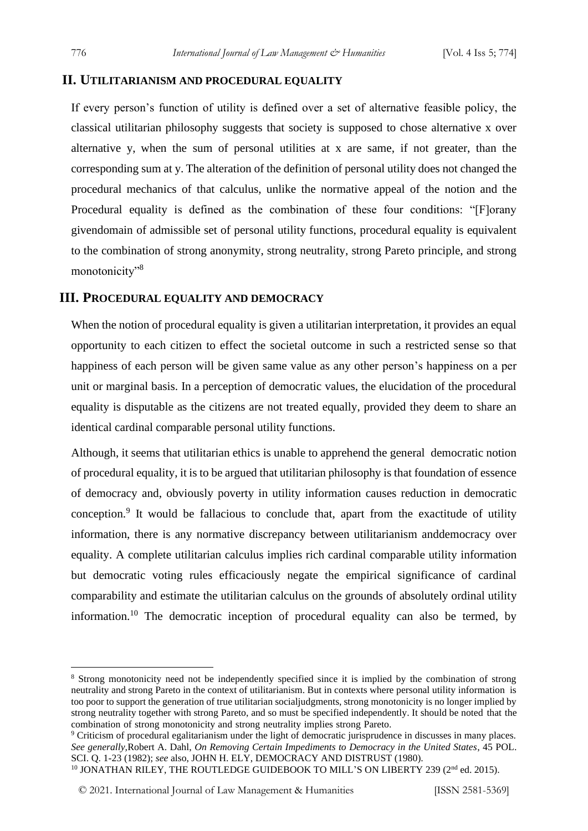#### **II. UTILITARIANISM AND PROCEDURAL EQUALITY**

If every person's function of utility is defined over a set of alternative feasible policy, the classical utilitarian philosophy suggests that society is supposed to chose alternative x over alternative y, when the sum of personal utilities at x are same, if not greater, than the corresponding sum at y. The alteration of the definition of personal utility does not changed the procedural mechanics of that calculus, unlike the normative appeal of the notion and the Procedural equality is defined as the combination of these four conditions: "[F]orany givendomain of admissible set of personal utility functions, procedural equality is equivalent to the combination of strong anonymity, strong neutrality, strong Pareto principle, and strong monotonicity"<sup>8</sup>

#### **III. PROCEDURAL EQUALITY AND DEMOCRACY**

When the notion of procedural equality is given a utilitarian interpretation, it provides an equal opportunity to each citizen to effect the societal outcome in such a restricted sense so that happiness of each person will be given same value as any other person's happiness on a per unit or marginal basis. In a perception of democratic values, the elucidation of the procedural equality is disputable as the citizens are not treated equally, provided they deem to share an identical cardinal comparable personal utility functions.

Although, it seems that utilitarian ethics is unable to apprehend the general democratic notion of procedural equality, it is to be argued that utilitarian philosophy is that foundation of essence of democracy and, obviously poverty in utility information causes reduction in democratic conception.<sup>9</sup> It would be fallacious to conclude that, apart from the exactitude of utility information, there is any normative discrepancy between utilitarianism anddemocracy over equality. A complete utilitarian calculus implies rich cardinal comparable utility information but democratic voting rules efficaciously negate the empirical significance of cardinal comparability and estimate the utilitarian calculus on the grounds of absolutely ordinal utility information.<sup>10</sup> The democratic inception of procedural equality can also be termed, by

```
<sup>10</sup> JONATHAN RILEY, THE ROUTLEDGE GUIDEBOOK TO MILL'S ON LIBERTY 239 (2<sup>nd</sup> ed. 2015).
```
<sup>8</sup> Strong monotonicity need not be independently specified since it is implied by the combination of strong neutrality and strong Pareto in the context of utilitarianism. But in contexts where personal utility information is too poor to support the generation of true utilitarian socialjudgments, strong monotonicity is no longer implied by strong neutrality together with strong Pareto, and so must be specified independently. It should be noted that the combination of strong monotonicity and strong neutrality implies strong Pareto.

<sup>&</sup>lt;sup>9</sup> Criticism of procedural egalitarianism under the light of democratic jurisprudence in discusses in many places. *See generally,*Robert A. Dahl, *On Removing Certain Impediments to Democracy in the United States*, 45 POL. SCI. Q. 1-23 (1982); *see* also, JOHN H. ELY, DEMOCRACY AND DISTRUST (1980).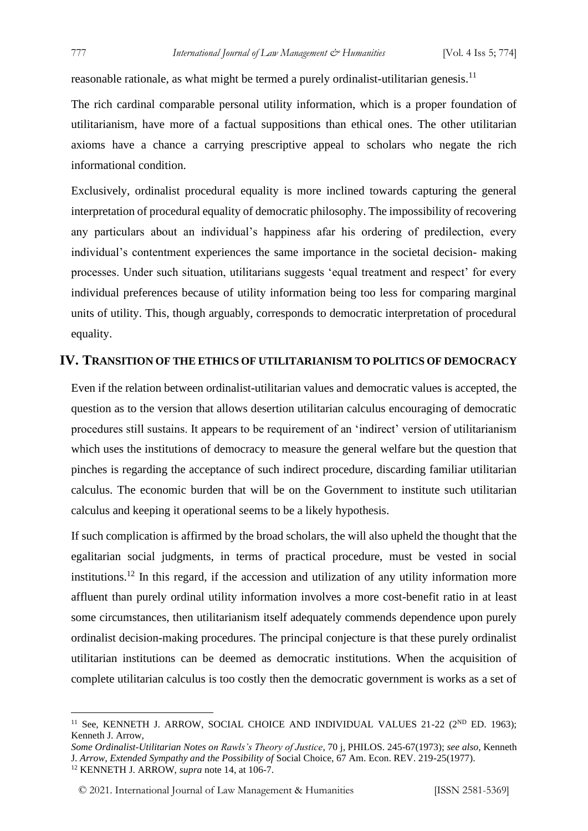reasonable rationale, as what might be termed a purely ordinalist-utilitarian genesis.<sup>11</sup>

The rich cardinal comparable personal utility information, which is a proper foundation of utilitarianism, have more of a factual suppositions than ethical ones. The other utilitarian axioms have a chance a carrying prescriptive appeal to scholars who negate the rich informational condition.

Exclusively, ordinalist procedural equality is more inclined towards capturing the general interpretation of procedural equality of democratic philosophy. The impossibility of recovering any particulars about an individual's happiness afar his ordering of predilection, every individual's contentment experiences the same importance in the societal decision- making processes. Under such situation, utilitarians suggests 'equal treatment and respect' for every individual preferences because of utility information being too less for comparing marginal units of utility. This, though arguably, corresponds to democratic interpretation of procedural equality.

#### **IV. TRANSITION OF THE ETHICS OF UTILITARIANISM TO POLITICS OF DEMOCRACY**

Even if the relation between ordinalist-utilitarian values and democratic values is accepted, the question as to the version that allows desertion utilitarian calculus encouraging of democratic procedures still sustains. It appears to be requirement of an 'indirect' version of utilitarianism which uses the institutions of democracy to measure the general welfare but the question that pinches is regarding the acceptance of such indirect procedure, discarding familiar utilitarian calculus. The economic burden that will be on the Government to institute such utilitarian calculus and keeping it operational seems to be a likely hypothesis.

If such complication is affirmed by the broad scholars, the will also upheld the thought that the egalitarian social judgments, in terms of practical procedure, must be vested in social institutions.<sup>12</sup> In this regard, if the accession and utilization of any utility information more affluent than purely ordinal utility information involves a more cost-benefit ratio in at least some circumstances, then utilitarianism itself adequately commends dependence upon purely ordinalist decision-making procedures. The principal conjecture is that these purely ordinalist utilitarian institutions can be deemed as democratic institutions. When the acquisition of complete utilitarian calculus is too costly then the democratic government is works as a set of

<sup>&</sup>lt;sup>11</sup> See, KENNETH J. ARROW, SOCIAL CHOICE AND INDIVIDUAL VALUES  $21-22$  ( $2^{ND}$  ED. 1963); Kenneth J. Arrow,

*Some Ordinalist-Utilitarian Notes on Rawls's Theory of Justice*, 70 j, PHILOS. 245-67(1973); *see also*, Kenneth J. *Arrow, Extended Sympathy and the Possibility of* Social Choice, 67 Am. Econ. REV. 219-25(1977). <sup>12</sup> KENNETH J. ARROW, *supra* note 14, at 106-7.

<sup>© 2021.</sup> International Journal of [Law Management & Humanities](https://www.ijlmh.com/) [ISSN 2581-5369]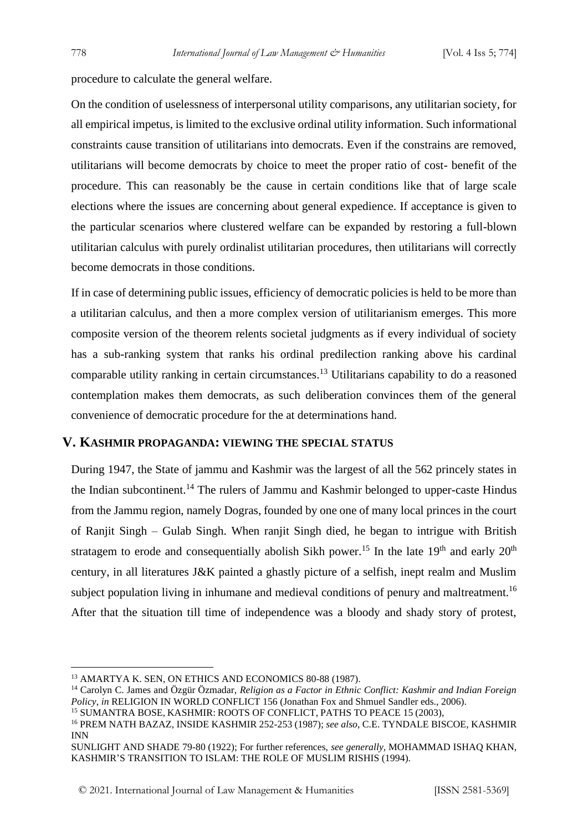procedure to calculate the general welfare.

On the condition of uselessness of interpersonal utility comparisons, any utilitarian society, for all empirical impetus, is limited to the exclusive ordinal utility information. Such informational constraints cause transition of utilitarians into democrats. Even if the constrains are removed, utilitarians will become democrats by choice to meet the proper ratio of cost- benefit of the procedure. This can reasonably be the cause in certain conditions like that of large scale elections where the issues are concerning about general expedience. If acceptance is given to the particular scenarios where clustered welfare can be expanded by restoring a full-blown utilitarian calculus with purely ordinalist utilitarian procedures, then utilitarians will correctly become democrats in those conditions.

If in case of determining public issues, efficiency of democratic policies is held to be more than a utilitarian calculus, and then a more complex version of utilitarianism emerges. This more composite version of the theorem relents societal judgments as if every individual of society has a sub-ranking system that ranks his ordinal predilection ranking above his cardinal comparable utility ranking in certain circumstances.<sup>13</sup> Utilitarians capability to do a reasoned contemplation makes them democrats, as such deliberation convinces them of the general convenience of democratic procedure for the at determinations hand.

#### **V. KASHMIR PROPAGANDA: VIEWING THE SPECIAL STATUS**

During 1947, the State of jammu and Kashmir was the largest of all the 562 princely states in the Indian subcontinent.<sup>14</sup> The rulers of Jammu and Kashmir belonged to upper-caste Hindus from the Jammu region, namely Dogras, founded by one one of many local princes in the court of Ranjit Singh – Gulab Singh. When ranjit Singh died, he began to intrigue with British stratagem to erode and consequentially abolish Sikh power.<sup>15</sup> In the late 19<sup>th</sup> and early 20<sup>th</sup> century, in all literatures J&K painted a ghastly picture of a selfish, inept realm and Muslim subject population living in inhumane and medieval conditions of penury and maltreatment.<sup>16</sup> After that the situation till time of independence was a bloody and shady story of protest,

<sup>&</sup>lt;sup>13</sup> AMARTYA K. SEN, ON ETHICS AND ECONOMICS 80-88 (1987).

<sup>14</sup> Carolyn C. James and Özgür Özmadar, *Religion as a Factor in Ethnic Conflict: Kashmir and Indian Foreign Policy*, *in* RELIGION IN WORLD CONFLICT 156 (Jonathan Fox and Shmuel Sandler eds., 2006).

<sup>&</sup>lt;sup>15</sup> SUMANTRA BOSE, KASHMIR: ROOTS OF CONFLICT, PATHS TO PEACE 15 (2003),

<sup>16</sup> PREM NATH BAZAZ, INSIDE KASHMIR 252-253 (1987); *see also*, C.E. TYNDALE BISCOE, KASHMIR INN

SUNLIGHT AND SHADE 79-80 (1922); For further references, *see generally*, MOHAMMAD ISHAQ KHAN, KASHMIR'S TRANSITION TO ISLAM: THE ROLE OF MUSLIM RISHIS (1994).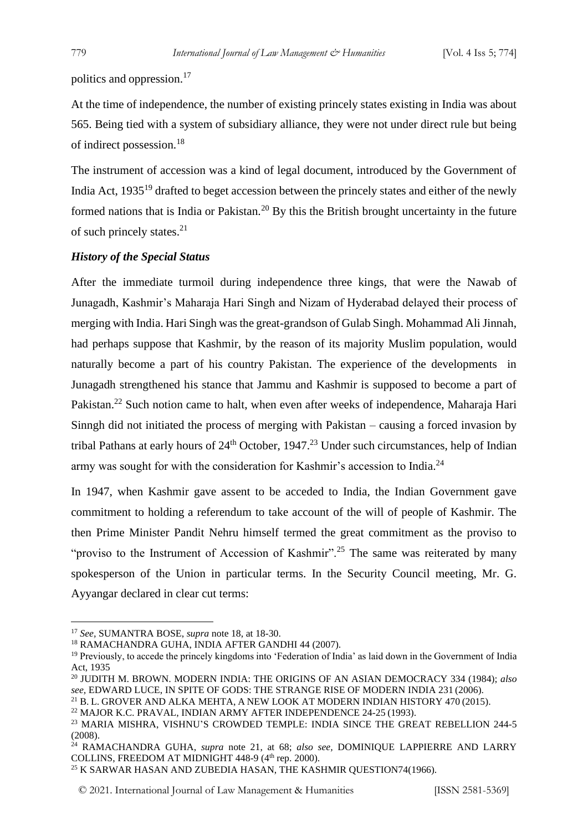politics and oppression.<sup>17</sup>

At the time of independence, the number of existing princely states existing in India was about 565. Being tied with a system of subsidiary alliance, they were not under direct rule but being of indirect possession.<sup>18</sup>

The instrument of accession was a kind of legal document, introduced by the Government of India Act, 1935<sup>19</sup> drafted to beget accession between the princely states and either of the newly formed nations that is India or Pakistan.<sup>20</sup> By this the British brought uncertainty in the future of such princely states. $2<sup>1</sup>$ 

#### *History of the Special Status*

After the immediate turmoil during independence three kings, that were the Nawab of Junagadh, Kashmir's Maharaja Hari Singh and Nizam of Hyderabad delayed their process of merging with India. Hari Singh was the great-grandson of Gulab Singh. Mohammad Ali Jinnah, had perhaps suppose that Kashmir, by the reason of its majority Muslim population, would naturally become a part of his country Pakistan. The experience of the developments in Junagadh strengthened his stance that Jammu and Kashmir is supposed to become a part of Pakistan.<sup>22</sup> Such notion came to halt, when even after weeks of independence, Maharaja Hari Sinngh did not initiated the process of merging with Pakistan – causing a forced invasion by tribal Pathans at early hours of  $24<sup>th</sup>$  October, 1947.<sup>23</sup> Under such circumstances, help of Indian army was sought for with the consideration for Kashmir's accession to India.<sup>24</sup>

In 1947, when Kashmir gave assent to be acceded to India, the Indian Government gave commitment to holding a referendum to take account of the will of people of Kashmir. The then Prime Minister Pandit Nehru himself termed the great commitment as the proviso to "proviso to the Instrument of Accession of Kashmir".<sup>25</sup> The same was reiterated by many spokesperson of the Union in particular terms. In the Security Council meeting, Mr. G. Ayyangar declared in clear cut terms:

<sup>17</sup> *See,* SUMANTRA BOSE, *supra* note 18, at 18-30.

<sup>18</sup> RAMACHANDRA GUHA, INDIA AFTER GANDHI 44 (2007).

<sup>&</sup>lt;sup>19</sup> Previously, to accede the princely kingdoms into 'Federation of India' as laid down in the Government of India Act, 1935

<sup>20</sup> JUDITH M. BROWN. MODERN INDIA: THE ORIGINS OF AN ASIAN DEMOCRACY 334 (1984); *also see,* EDWARD LUCE, IN SPITE OF GODS: THE STRANGE RISE OF MODERN INDIA 231 (2006).

<sup>&</sup>lt;sup>21</sup> B. L. GROVER AND ALKA MEHTA, A NEW LOOK AT MODERN INDIAN HISTORY 470 (2015).

<sup>22</sup> MAJOR K.C. PRAVAL, INDIAN ARMY AFTER INDEPENDENCE 24-25 (1993).

<sup>23</sup> MARIA MISHRA, VISHNU'S CROWDED TEMPLE: INDIA SINCE THE GREAT REBELLION 244-5 (2008).

<sup>24</sup> RAMACHANDRA GUHA, *supra* note 21, at 68; *also see,* DOMINIQUE LAPPIERRE AND LARRY COLLINS, FREEDOM AT MIDNIGHT 448-9 (4<sup>th</sup> rep. 2000).

<sup>&</sup>lt;sup>25</sup> K SARWAR HASAN AND ZUBEDIA HASAN, THE KASHMIR QUESTION74(1966).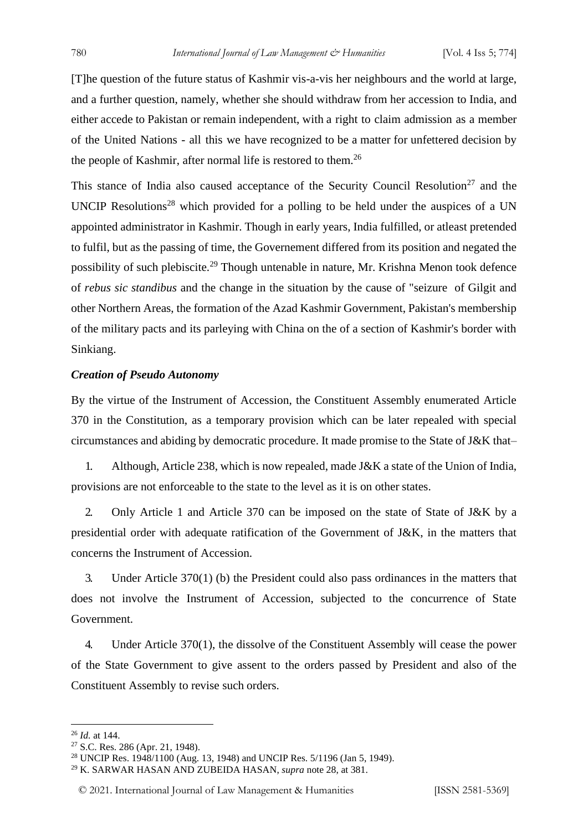[T]he question of the future status of Kashmir vis-a-vis her neighbours and the world at large, and a further question, namely, whether she should withdraw from her accession to India, and either accede to Pakistan or remain independent, with a right to claim admission as a member of the United Nations - all this we have recognized to be a matter for unfettered decision by the people of Kashmir, after normal life is restored to them.<sup>26</sup>

This stance of India also caused acceptance of the Security Council Resolution<sup>27</sup> and the UNCIP Resolutions<sup>28</sup> which provided for a polling to be held under the auspices of a UN appointed administrator in Kashmir. Though in early years, India fulfilled, or atleast pretended to fulfil, but as the passing of time, the Governement differed from its position and negated the possibility of such plebiscite.<sup>29</sup> Though untenable in nature, Mr. Krishna Menon took defence of *rebus sic standibus* and the change in the situation by the cause of "seizure of Gilgit and other Northern Areas, the formation of the Azad Kashmir Government, Pakistan's membership of the military pacts and its parleying with China on the of a section of Kashmir's border with Sinkiang.

#### *Creation of Pseudo Autonomy*

By the virtue of the Instrument of Accession, the Constituent Assembly enumerated Article 370 in the Constitution, as a temporary provision which can be later repealed with special circumstances and abiding by democratic procedure. It made promise to the State of J&K that–

1. Although, Article 238, which is now repealed, made J&K a state of the Union of India, provisions are not enforceable to the state to the level as it is on other states.

2. Only Article 1 and Article 370 can be imposed on the state of State of J&K by a presidential order with adequate ratification of the Government of J&K, in the matters that concerns the Instrument of Accession.

3. Under Article 370(1) (b) the President could also pass ordinances in the matters that does not involve the Instrument of Accession, subjected to the concurrence of State Government.

4. Under Article 370(1), the dissolve of the Constituent Assembly will cease the power of the State Government to give assent to the orders passed by President and also of the Constituent Assembly to revise such orders.

<sup>26</sup> *Id.* at 144.

<sup>27</sup> S.C. Res. 286 (Apr. 21, 1948).

<sup>28</sup> UNCIP Res. 1948/1100 (Aug. 13, 1948) and UNCIP Res. 5/1196 (Jan 5, 1949).

<sup>29</sup> K. SARWAR HASAN AND ZUBEIDA HASAN, *supra* note 28, at 381.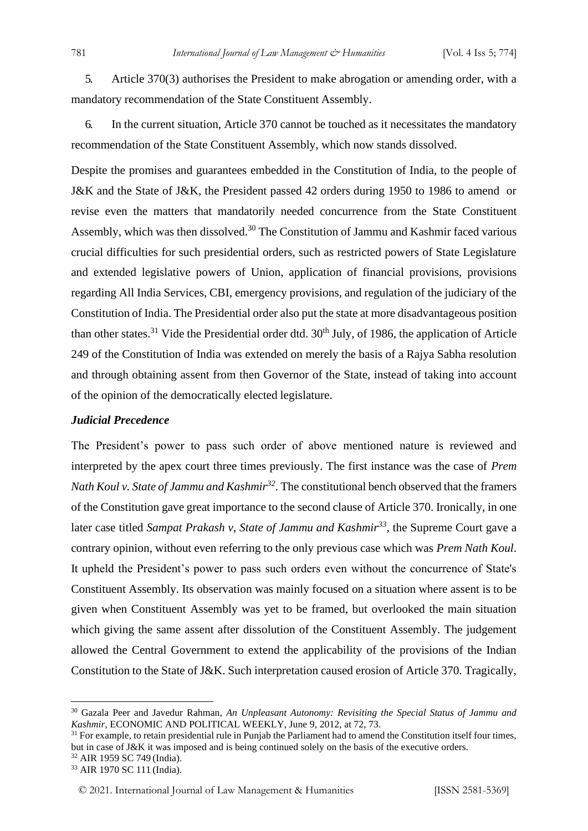5. Article 370(3) authorises the President to make abrogation or amending order, with a mandatory recommendation of the State Constituent Assembly.

6. In the current situation, Article 370 cannot be touched as it necessitates the mandatory recommendation of the State Constituent Assembly, which now stands dissolved.

Despite the promises and guarantees embedded in the Constitution of India, to the people of J&K and the State of J&K, the President passed 42 orders during 1950 to 1986 to amend or revise even the matters that mandatorily needed concurrence from the State Constituent Assembly, which was then dissolved.<sup>30</sup> The Constitution of Jammu and Kashmir faced various crucial difficulties for such presidential orders, such as restricted powers of State Legislature and extended legislative powers of Union, application of financial provisions, provisions regarding All India Services, CBI, emergency provisions, and regulation of the judiciary of the Constitution of India. The Presidential order also put the state at more disadvantageous position than other states.<sup>31</sup> Vide the Presidential order dtd.  $30<sup>th</sup>$  July, of 1986, the application of Article 249 of the Constitution of India was extended on merely the basis of a Rajya Sabha resolution and through obtaining assent from then Governor of the State, instead of taking into account of the opinion of the democratically elected legislature.

#### *Judicial Precedence*

The President's power to pass such order of above mentioned nature is reviewed and interpreted by the apex court three times previously. The first instance was the case of *Prem Nath Koul v. State of Jammu and Kashmir<sup>32</sup>*. The constitutional bench observed that the framers of the Constitution gave great importance to the second clause of Article 370. Ironically, in one later case titled *Sampat Prakash v, State of Jammu and Kashmir<sup>33</sup>*, the Supreme Court gave a contrary opinion, without even referring to the only previous case which was *Prem Nath Koul*. It upheld the President's power to pass such orders even without the concurrence of State's Constituent Assembly. Its observation was mainly focused on a situation where assent is to be given when Constituent Assembly was yet to be framed, but overlooked the main situation which giving the same assent after dissolution of the Constituent Assembly. The judgement allowed the Central Government to extend the applicability of the provisions of the Indian Constitution to the State of J&K. Such interpretation caused erosion of Article 370. Tragically,

<sup>30</sup> Gazala Peer and Javedur Rahman, *An Unpleasant Autonomy: Revisiting the Special Status of Jammu and Kashmir*, ECONOMIC AND POLITICAL WEEKLY, June 9, 2012, at 72, 73.

 $31$  For example, to retain presidential rule in Punjab the Parliament had to amend the Constitution itself four times, but in case of J&K it was imposed and is being continued solely on the basis of the executive orders.

<sup>32</sup> AIR 1959 SC 749 (India).

<sup>33</sup> AIR 1970 SC 111 (India).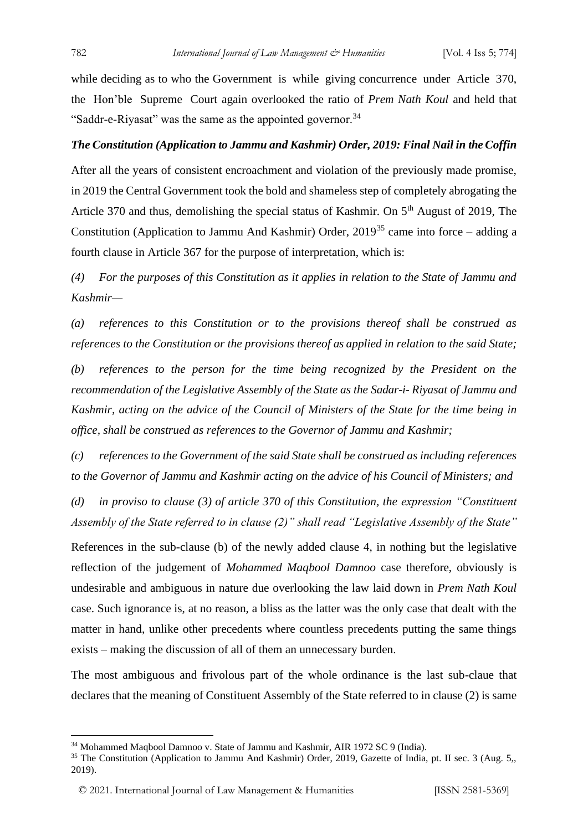while deciding as to who the Government is while giving concurrence under Article 370, the Hon'ble Supreme Court again overlooked the ratio of *Prem Nath Koul* and held that "Saddr-e-Riyasat" was the same as the appointed governor.<sup>34</sup>

#### *The Constitution (Application to Jammu and Kashmir) Order, 2019: Final Nail in the Coffin*

After all the years of consistent encroachment and violation of the previously made promise, in 2019 the Central Government took the bold and shameless step of completely abrogating the Article 370 and thus, demolishing the special status of Kashmir. On 5<sup>th</sup> August of 2019, The Constitution (Application to Jammu And Kashmir) Order,  $2019^{35}$  came into force – adding a fourth clause in Article 367 for the purpose of interpretation, which is:

*(4) For the purposes of this Constitution as it applies in relation to the State of Jammu and Kashmir—*

*(a) references to this Constitution or to the provisions thereof shall be construed as references to the Constitution or the provisions thereof as applied in relation to the said State; (b) references to the person for the time being recognized by the President on the recommendation of the Legislative Assembly of the State as the Sadar-i- Riyasat of Jammu and Kashmir, acting on the advice of the Council of Ministers of the State for the time being in office, shall be construed as references to the Governor of Jammu and Kashmir;*

*(c) references to the Government of the said State shall be construed as including references to the Governor of Jammu and Kashmir acting on the advice of his Council of Ministers; and*

*(d) in proviso to clause (3) of article 370 of this Constitution, the expression "Constituent Assembly of the State referred to in clause (2)" shall read "Legislative Assembly of the State"*

References in the sub-clause (b) of the newly added clause 4, in nothing but the legislative reflection of the judgement of *Mohammed Maqbool Damnoo* case therefore, obviously is undesirable and ambiguous in nature due overlooking the law laid down in *Prem Nath Koul*  case. Such ignorance is, at no reason, a bliss as the latter was the only case that dealt with the matter in hand, unlike other precedents where countless precedents putting the same things exists – making the discussion of all of them an unnecessary burden.

The most ambiguous and frivolous part of the whole ordinance is the last sub-claue that declares that the meaning of Constituent Assembly of the State referred to in clause (2) is same

<sup>34</sup> Mohammed Maqbool Damnoo v. State of Jammu and Kashmir, AIR 1972 SC 9 (India).

<sup>&</sup>lt;sup>35</sup> The Constitution (Application to Jammu And Kashmir) Order, 2019, Gazette of India, pt. II sec. 3 (Aug. 5,, 2019).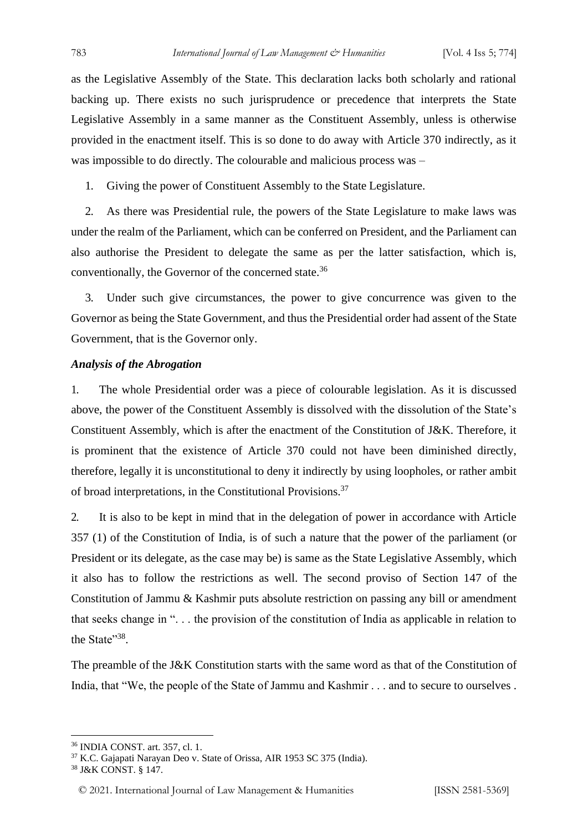as the Legislative Assembly of the State. This declaration lacks both scholarly and rational backing up. There exists no such jurisprudence or precedence that interprets the State Legislative Assembly in a same manner as the Constituent Assembly, unless is otherwise provided in the enactment itself. This is so done to do away with Article 370 indirectly, as it was impossible to do directly. The colourable and malicious process was –

1. Giving the power of Constituent Assembly to the State Legislature.

2. As there was Presidential rule, the powers of the State Legislature to make laws was under the realm of the Parliament, which can be conferred on President, and the Parliament can also authorise the President to delegate the same as per the latter satisfaction, which is, conventionally, the Governor of the concerned state.<sup>36</sup>

3. Under such give circumstances, the power to give concurrence was given to the Governor as being the State Government, and thus the Presidential order had assent of the State Government, that is the Governor only.

#### *Analysis of the Abrogation*

1. The whole Presidential order was a piece of colourable legislation. As it is discussed above, the power of the Constituent Assembly is dissolved with the dissolution of the State's Constituent Assembly, which is after the enactment of the Constitution of J&K. Therefore, it is prominent that the existence of Article 370 could not have been diminished directly, therefore, legally it is unconstitutional to deny it indirectly by using loopholes, or rather ambit of broad interpretations, in the Constitutional Provisions.<sup>37</sup>

2. It is also to be kept in mind that in the delegation of power in accordance with Article 357 (1) of the Constitution of India, is of such a nature that the power of the parliament (or President or its delegate, as the case may be) is same as the State Legislative Assembly, which it also has to follow the restrictions as well. The second proviso of Section 147 of the Constitution of Jammu & Kashmir puts absolute restriction on passing any bill or amendment that seeks change in ". . . the provision of the constitution of India as applicable in relation to the State"<sup>38</sup>.

The preamble of the J&K Constitution starts with the same word as that of the Constitution of India, that "We, the people of the State of Jammu and Kashmir . . . and to secure to ourselves .

<sup>36</sup> INDIA CONST. art. 357, cl. 1.

<sup>37</sup> K.C. Gajapati Narayan Deo v. State of Orissa, AIR 1953 SC 375 (India).

<sup>38</sup> J&K CONST. § 147.